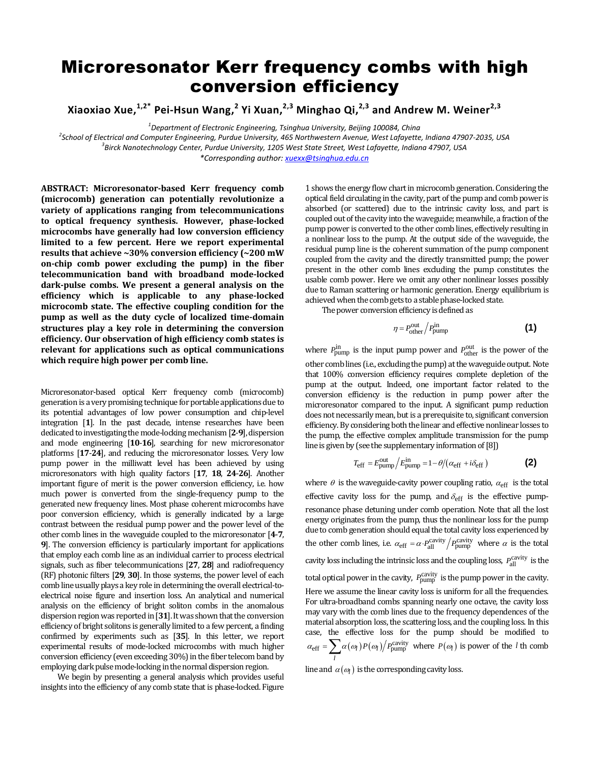## Microresonator Kerr frequency combs with high conversion efficiency

**Xiaoxiao Xue, 1,2\* Pei-Hsun Wang, 2 Yi Xuan, 2,3 Minghao Qi, 2,3 and Andrew M. Weiner2,3**

*1 Department of Electronic Engineering, Tsinghua University, Beijing 100084, China*

*2 School of Electrical and Computer Engineering, Purdue University, 465 Northwestern Avenue, West Lafayette, Indiana 47907-2035, USA 3 Birck Nanotechnology Center, Purdue University, 1205 West State Street, West Lafayette, Indiana 47907, USA*

*\*Corresponding author: [xuexx@tsinghua.edu.cn](mailto:xuexx@tsinghua.edu.cn)*

**ABSTRACT: Microresonator-based Kerr frequency comb (microcomb) generation can potentially revolutionize a variety of applications ranging from telecommunications to optical frequency synthesis. However, phase-locked microcombs have generally had low conversion efficiency limited to a few percent. Here we report experimental results that achieve ~30% conversion efficiency (~200 mW on-chip comb power excluding the pump) in the fiber telecommunication band with broadband mode-locked dark-pulse combs. We present a general analysis on the efficiency which is applicable to any phase-locked microcomb state. The effective coupling condition for the pump as well as the duty cycle of localized time-domain structures play a key role in determining the conversion efficiency. Our observation of high efficiency comb states is relevant for applications such as optical communications which require high power per comb line.** 

Microresonator-based optical Kerr frequency comb (microcomb) generation is a very promising technique for portable applications due to its potential advantages of low power consumption and chip-level integration [**[1](#page-3-0)**]. In the past decade, intense researches have been dedicated to investigating the mode-locking mechanism[**[2](#page-3-1)**-**[9](#page-3-2)**], dispersion and mode engineering [**[10](#page-3-3)**-**[16](#page-3-4)**], searching for new microresonator platforms [**[17](#page-3-5)**-**[24](#page-3-6)**], and reducing the microresonator losses. Very low pump power in the milliwatt level has been achieved by using microresonators with high quality factors [**[17](#page-3-5)**, **[18](#page-3-7)**, **[24](#page-3-6)**-**[26](#page-3-8)**]. Another important figure of merit is the power conversion efficiency, i.e. how much power is converted from the single-frequency pump to the generated new frequency lines. Most phase coherent microcombs have poor conversion efficiency, which is generally indicated by a large contrast between the residual pump power and the power level of the other comb lines in the waveguide coupled to the microresonator [**[4](#page-3-9)**-**[7](#page-3-10)**, **[9](#page-3-2)**]. The conversion efficiency is particularly important for applications that employ each comb line as an individual carrier to process electrical signals, such as fiber telecommunications [**[27](#page-3-11)**, **[28](#page-3-12)**] and radiofrequency (RF) photonic filters [**[29](#page-3-13)**, **[30](#page-3-14)**]. In those systems, the power level of each comb line usually plays a key role in determining the overall electrical-toelectrical noise figure and insertion loss. An analytical and numerical analysis on the efficiency of bright soliton combs in the anomalous dispersion region was reported in [**[31](#page-3-15)**]. It was shown that the conversion efficiency of bright solitons is generally limited to a few percent, a finding confirmed by experiments such as [**[35](#page-3-16)**]. In this letter, we report experimental results of mode-locked microcombs with much higher conversion efficiency (even exceeding 30%) in the fiber telecom band by employing dark pulse mode-locking in the normal dispersion region.

We begin by presenting a general analysis which provides useful insights into the efficiency of any comb state that is phase-locked. Figure

1 shows the energy flow chart in microcomb generation. Considering the optical field circulating in the cavity, part of the pump and comb power is absorbed (or scattered) due to the intrinsic cavity loss, and part is coupled out of the cavity into the waveguide; meanwhile, a fraction of the pump power is converted to the other comb lines, effectively resulting in a nonlinear loss to the pump. At the output side of the waveguide, the residual pump line is the coherent summation of the pump component coupled from the cavity and the directly transmitted pump; the power present in the other comb lines excluding the pump constitutes the usable comb power. Here we omit any other nonlinear losses possibly due to Raman scattering or harmonic generation. Energy equilibrium is achieved when the comb gets to a stable phase-locked state.

The power conversion efficiency is defined as

$$
\eta = P_{\text{other}}^{\text{out}} / P_{\text{pump}}^{\text{in}}
$$
 (1)

where  $P_{\text{pump}}^{\text{in}}$  is the input pump power and  $P_{\text{other}}^{\text{out}}$  is the power of the other comb lines (i.e., excluding the pump) at the waveguide output. Note that 100% conversion efficiency requires complete depletion of the pump at the output. Indeed, one important factor related to the conversion efficiency is the reduction in pump power after the microresonator compared to the input. A significant pump reduction does not necessarily mean, but is a prerequisite to, significant conversion efficiency.By considering both the linear and effective nonlinear losses to the pump, the effective complex amplitude transmission for the pump line is given by (see the supplementary information of [\[8\]](#page-3-17))

$$
T_{\text{eff}} = E_{\text{pump}}^{\text{out}} / E_{\text{pump}}^{\text{in}} = 1 - \theta / (\alpha_{\text{eff}} + i \delta_{\text{eff}})
$$
 (2)

where  $\theta$  is the waveguide-cavity power coupling ratio,  $\alpha_{\text{eff}}$  is the total effective cavity loss for the pump, and  $\delta_{\text{eff}}$  is the effective pumpresonance phase detuning under comb operation. Note that all the lost energy originates from the pump, thus the nonlinear loss for the pump due to comb generation should equal the total cavity loss experienced by the other comb lines, i.e.  $\alpha_{\text{eff}} = \alpha \cdot P_{\text{all}}^{\text{cavity}} / P_{\text{pump}}^{\text{cavity}}$  where  $\alpha$  is the total cavity loss including the intrinsic loss and the coupling loss,  $P_{\text{all}}^{\text{cavity}}$  is the total optical power in the cavity,  $P_{\text{pump}}^{\text{cavity}}$  is the pump power in the cavity. Here we assume the linear cavity loss is uniform for all the frequencies. For ultra-broadband combs spanning nearly one octave, the cavity loss may vary with the comb lines due to the frequency dependences of the material absorption loss, the scattering loss, and the coupling loss. In this case, the effective loss for the pump should be modified to  $c_{\text{eff}} = \sum \alpha(\omega_l) P(\omega_l) / P_{\text{pump}}^{\text{cavity}}$  $\alpha_{\text{eff}} = \sum_{l} \alpha(\omega_l) P(\omega_l) / P_{\text{pump}}^{\text{cavity}}$  where  $P(\omega_l)$  is power of the *l* th comb

line and  $\alpha(\omega_l)$  is the corresponding cavity loss.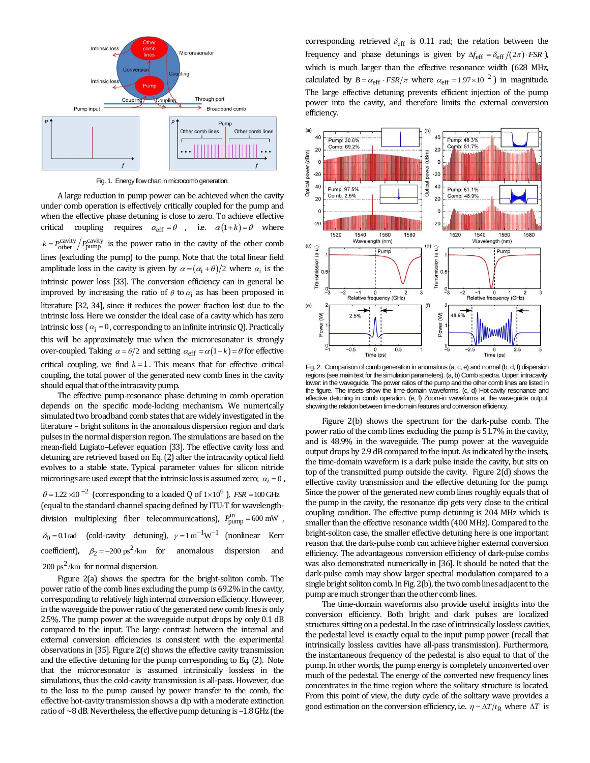

Fig. 1. Energy flow chart in microcomb generation.

A large reduction in pump power can be achieved when the cavity under comb operation is effectively critically coupled for the pump and when the effective phase detuning is close to zero. To achieve effective critical coupling requires  $\alpha_{\text{eff}} = \theta$ , i.e.  $\alpha(1+k) = \theta$  where  $k = P_{\text{other}}^{\text{cavity}} / P_{\text{pump}}^{\text{cavity}}$  is the power ratio in the cavity of the other comb lines (excluding the pump) to the pump. Note that the total linear field amplitude loss in the cavity is given by  $\alpha = (\alpha_i + \theta)/2$  where  $\alpha_i$  is the intrinsic power loss [\[33\]](#page-3-18). The conversion efficiency can in general be improved by increasing the ratio of  $\theta$  to  $\alpha_i$  as has been proposed in literature [\[32,](#page-3-19) [34\]](#page-3-20), since it reduces the power fraction lost due to the intrinsic loss. Here we consider the ideal case of a cavity which has zero intrinsic loss ( $\alpha_i = 0$ , corresponding to an infinite intrinsic Q). Practically this will be approximately true when the microresonator is strongly over-coupled. Taking  $\alpha = \theta/2$  and setting  $\alpha_{\text{eff}} = \alpha(1+k) = \theta$  for effective critical coupling, we find  $k = 1$ . This means that for effective critical coupling, the total power of the generated new comb lines in the cavity should equal that of the intracavity pump.

The effective pump-resonance phase detuning in comb operation depends on the specific mode-locking mechanism. We numerically simulated two broadband comb states that are widely investigated in the literature − bright solitons in the anomalous dispersion region and dark pulses in the normal dispersion region. The simulations are based on the mean-field Lugiato–Lefever equation [\[33\].](#page-3-18) The effective cavity loss and detuning are retrieved based on Eq. (2) after the intracavity optical field evolves to a stable state. Typical parameter values for silicon nitride microrings are used except that the intrinsic loss is assumed zero;  $\,\alpha_i^{}$  =  $0$  ,  $\theta = 1.22 \times 10^{-2}$  (corresponding to a loaded Q of  $1 \times 10^{6}$ ), *FSR* = 100 GHz (equal to the standard channel spacing defined by ITU-T for wavelengthdivision multiplexing fiber telecommunications),  $P_{\text{pump}}^{\text{in}} = 600 \text{ mW}$ ,  $\delta_0 = 0.1$  rad (cold-cavity detuning),  $\gamma = 1 \text{ m}^{-1} \text{W}^{-1}$  (nonlinear Kerr coefficient),  $\beta_2 = -200 \text{ ps}^2/\text{km}$  for anomalous dispersion and  $200 \text{ ps}^2/\text{km}$  for normal dispersion.

Figure 2(a) shows the spectra for the bright-soliton comb. The power ratio of the comb lines excluding the pump is 69.2% in the cavity, corresponding to relatively high internal conversion efficiency. However, in the waveguide the power ratio of the generated new comb lines is only 2.5%. The pump power at the waveguide output drops by only 0.1 dB compared to the input. The large contrast between the internal and external conversion efficiencies is consistent with the experimental observations in [\[35\]](#page-3-16). Figure 2(c) shows the effective cavity transmission and the effective detuning for the pump corresponding to Eq. (2). Note that the microresonator is assumed intrinsically lossless in the simulations, thus the cold-cavity transmission is all-pass. However, due to the loss to the pump caused by power transfer to the comb, the effective hot-cavity transmission shows a dip with a moderate extinction ratio of ~8 dB. Nevertheless, the effective pump detuning is −1.8 GHz (the

corresponding retrieved  $\delta_{\text{eff}}$  is 0.11 rad; the relation between the frequency and phase detunings is given by  $\Delta f_{\text{eff}} = \delta_{\text{eff}} / (2\pi) \cdot FSR$  ), which is much larger than the effective resonance width (628 MHz, calculated by  $B = \alpha_{\text{eff}} \cdot FSR/\pi$  where  $\alpha_{\text{eff}} = 1.97 \times 10^{-2}$  ) in magnitude. The large effective detuning prevents efficient injection of the pump power into the cavity, and therefore limits the external conversion efficiency.



Fig. 2. Comparison of comb generation in anomalous (a, c, e) and normal (b, d, f) dispersion regions (see main text for the simulation parameters). (a, b) Comb spectra. Upper: intracavity, lower: in the waveguide. The power ratios of the pump and the other comb lines are listed in the figure. The insets show the time-domain waveforms. (c, d) Hot-cavity resonance and effective detuning in comb operation. (e, f) Zoom-in waveforms at the waveguide output, showing the relation between time-domain features and conversion efficiency.

Figure 2(b) shows the spectrum for the dark-pulse comb. The power ratio of the comb lines excluding the pump is 51.7% in the cavity, and is 48.9% in the waveguide. The pump power at the waveguide output drops by 2.9 dB compared to the input. As indicated by the insets, the time-domain waveform is a dark pulse inside the cavity, but sits on top of the transmitted pump outside the cavity. Figure 2(d) shows the effective cavity transmission and the effective detuning for the pump. Since the power of the generated new comb lines roughly equals that of the pump in the cavity, the resonance dip gets very close to the critical coupling condition. The effective pump detuning is 204 MHz which is smaller than the effective resonance width (400 MHz). Compared to the bright-soliton case, the smaller effective detuning here is one important reason that the dark-pulse comb can achieve higher external conversion efficiency. The advantageous conversion efficiency of dark-pulse combs was also demonstrated numerically in [\[36\]](#page-3-21). It should be noted that the dark-pulse comb may show larger spectral modulation compared to a single bright soliton comb. In Fig. 2(b), the two comb lines adjacent to the pump are much stronger than the other comb lines.

The time-domain waveforms also provide useful insights into the conversion efficiency. Both bright and dark pulses are localized structures sitting on a pedestal. In the case of intrinsically lossless cavities, the pedestal level is exactly equal to the input pump power (recall that intrinsically lossless cavities have all-pass transmission). Furthermore, the instantaneous frequency of the pedestal is also equal to that of the pump. In other words, the pump energy is completely unconverted over much of the pedestal. The energy of the converted new frequency lines concentrates in the time region where the solitary structure is located. From this point of view, the duty cycle of the solitary wave provides a good estimation on the conversion efficiency, i.e.  $\eta \sim \Delta T/t_R$  where  $\Delta T$  is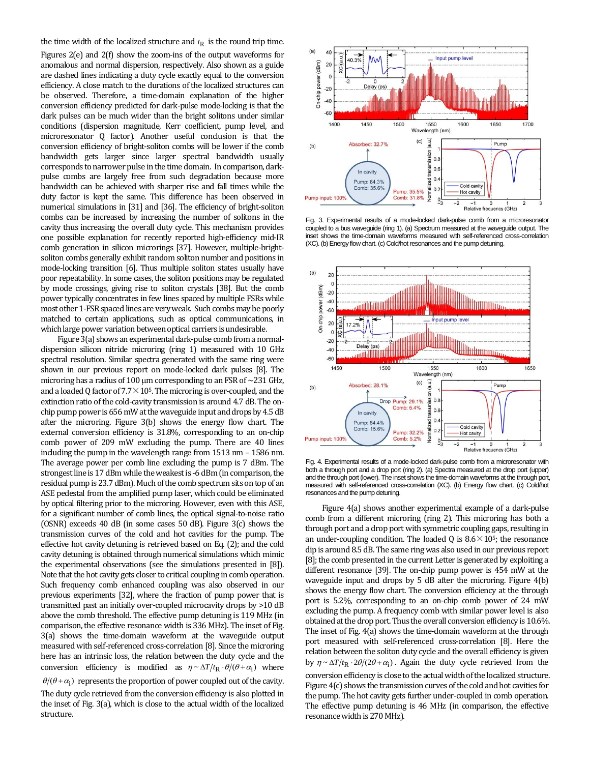the time width of the localized structure and  $t<sub>R</sub>$  is the round trip time.

Figures 2(e) and 2(f) show the zoom-ins of the output waveforms for anomalous and normal dispersion, respectively. Also shown as a guide are dashed lines indicating a duty cycle exactly equal to the conversion efficiency. A close match to the durations of the localized structures can be observed. Therefore, a time-domain explanation of the higher conversion efficiency predicted for dark-pulse mode-locking is that the dark pulses can be much wider than the bright solitons under similar conditions (dispersion magnitude, Kerr coefficient, pump level, and microresonator Q factor). Another useful conclusion is that the conversion efficiency of bright-soliton combs will be lower if the comb bandwidth gets larger since larger spectral bandwidth usually corresponds to narrower pulse in the time domain. In comparison, darkpulse combs are largely free from such degradation because more bandwidth can be achieved with sharper rise and fall times while the duty factor is kept the same. This difference has been observed in numerical simulations in [\[31\]](#page-3-15) and [\[36\]](#page-3-21). The efficiency of bright-soliton combs can be increased by increasing the number of solitons in the cavity thus increasing the overall duty cycle. This mechanism provides one possible explanation for recently reported high-efficiency mid-IR comb generation in silicon microrings [\[37\]](#page-3-22). However, multiple-brightsoliton combs generally exhibit random soliton number and positions in mode-locking transition [\[6\]](#page-3-23). Thus multiple soliton states usually have poor repeatability. In some cases, the soliton positions may be regulated by mode crossings, giving rise to soliton crystals [\[38\]](#page-3-24). But the comb power typically concentrates in few lines spaced by multiple FSRs while most other 1-FSR spaced lines are very weak. Such combs may be poorly matched to certain applications, such as optical communications, in which large power variation between optical carriers is undesirable.

Figure 3(a) shows an experimental dark-pulse comb from a normaldispersion silicon nitride microring (ring 1) measured with 10 GHz spectral resolution. Similar spectra generated with the same ring were shown in our previous report on mode-locked dark pulses [\[8\]](#page-3-17). The microring has a radius of 100  $\mu$ m corresponding to an FSR of  $\sim$ 231 GHz, and a loaded Q factor of  $7.7 \times 10^5$ . The microring is over-coupled, and the extinction ratio of the cold-cavity transmission is around 4.7 dB. The onchip pump power is 656 mW at the waveguide input and drops by 4.5 dB after the microring. Figure 3(b) shows the energy flow chart. The external conversion efficiency is 31.8%, corresponding to an on-chip comb power of 209 mW excluding the pump. There are 40 lines including the pump in the wavelength range from 1513 nm – 1586 nm. The average power per comb line excluding the pump is 7 dBm. The strongest line is 17 dBm while theweakest is -6 dBm (in comparison, the residual pump is 23.7 dBm). Much of the comb spectrum sits on top of an ASE pedestal from the amplified pump laser, which could be eliminated by optical filtering prior to the microring. However, even with this ASE, for a significant number of comb lines, the optical signal-to-noise ratio (OSNR) exceeds 40 dB (in some cases 50 dB). Figure 3(c) shows the transmission curves of the cold and hot cavities for the pump. The effective hot cavity detuning is retrieved based on Eq. (2); and the cold cavity detuning is obtained through numerical simulations which mimic the experimental observations (see the simulations presented in [\[8\]](#page-3-17)). Note that the hot cavity gets closer to critical coupling in comb operation. Such frequency comb enhanced coupling was also observed in our previous experiments [\[32\]](#page-3-19), where the fraction of pump power that is transmitted past an initially over-coupled microcavity drops by >10 dB above the comb threshold. The effective pump detuning is 119 MHz (in comparison, the effective resonance width is 336 MHz). The inset of Fig. 3(a) shows the time-domain waveform at the waveguide output measured with self-referenced cross-correlation [\[8\]](#page-3-17). Since the microring here has an intrinsic loss, the relation between the duty cycle and the conversion efficiency is modified as  $\eta \sim \Delta T / t_{\rm R} \cdot \theta / (\theta + \alpha_i)$  where  $\theta/(\theta + \alpha_i)$  represents the proportion of power coupled out of the cavity. The duty cycle retrieved from the conversion efficiency is also plotted in the inset of Fig. 3(a), which is close to the actual width of the localized structure.



Fig. 3. Experimental results of a mode-locked dark-pulse comb from a microresonator coupled to a bus waveguide (ring 1). (a) Spectrum measured at the waveguide output. The inset shows the time-domain waveforms measured with self-referenced cross-correlation (XC). (b) Energy flow chart. (c) Cold/hot resonances and the pump detuning.



Fig. 4. Experimental results of a mode-locked dark-pulse comb from a microresonator with both a through port and a drop port (ring 2). (a) Spectra measured at the drop port (upper) and the through port (lower). The inset shows the time-domain waveforms at the through port, measured with self-referenced cross-correlation (XC). (b) Energy flow chart. (c) Cold/hot resonances and the pump detuning.

Figure 4(a) shows another experimental example of a dark-pulse comb from a different microring (ring 2). This microring has both a through port and a drop port with symmetric coupling gaps, resulting in an under-coupling condition. The loaded Q is  $8.6 \times 10^5$ ; the resonance dip is around 8.5 dB. The same ring was also used in our previous report [\[8\]](#page-3-17); the comb presented in the current Letter is generated by exploiting a different resonance [\[39\]](#page-3-25). The on-chip pump power is 454 mW at the waveguide input and drops by 5 dB after the microring. Figure 4(b) shows the energy flow chart. The conversion efficiency at the through port is 5.2%, corresponding to an on-chip comb power of 24 mW excluding the pump. A frequency comb with similar power level is also obtained at the drop port. Thus the overall conversion efficiency is 10.6%. The inset of Fig. 4(a) shows the time-domain waveform at the through port measured with self-referenced cross-correlation [\[8\]](#page-3-17). Here the relation between the soliton duty cycle and the overall efficiency is given by  $\eta \sim \Delta T / t_{\text{R}} \cdot 2\theta / (2\theta + \alpha_{\text{i}})$ . Again the duty cycle retrieved from the conversion efficiency is close to the actual width of the localized structure. Figure 4(c) shows the transmission curves of the cold and hot cavities for the pump. The hot cavity gets further under-coupled in comb operation. The effective pump detuning is 46 MHz (in comparison, the effective resonance width is 270MHz).